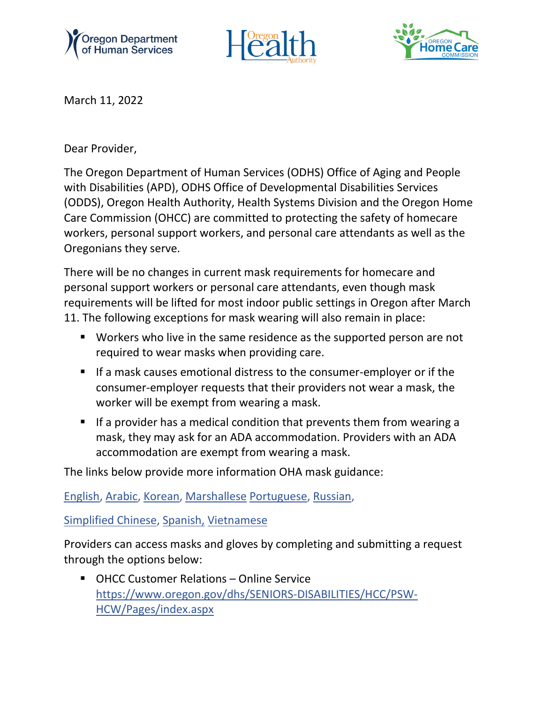





March 11, 2022

Dear Provider,

The Oregon Department of Human Services (ODHS) Office of Aging and People with Disabilities (APD), ODHS Office of Developmental Disabilities Services (ODDS), Oregon Health Authority, Health Systems Division and the Oregon Home Care Commission (OHCC) are committed to protecting the safety of homecare workers, personal support workers, and personal care attendants as well as the Oregonians they serve.

There will be no changes in current mask requirements for homecare and personal support workers or personal care attendants, even though mask requirements will be lifted for most indoor public settings in Oregon after March 11. The following exceptions for mask wearing will also remain in place:

- Workers who live in the same residence as the supported person are not required to wear masks when providing care.
- If a mask causes emotional distress to the consumer-employer or if the consumer-employer requests that their providers not wear a mask, the worker will be exempt from wearing a mask.
- **If a provider has a medical condition that prevents them from wearing a** mask, they may ask for an ADA accommodation. Providers with an ADA accommodation are exempt from wearing a mask.

The links below provide more information OHA mask guidance:

[English,](https://sharedsystems.dhsoha.state.or.us/DHSForms/Served/le4063.pdf) [Arabic,](https://sharedsystems.dhsoha.state.or.us/DHSForms/Served/la4063.pdf) [Korean,](https://sharedsystems.dhsoha.state.or.us/DHSForms/Served/Lk4063.pdf) [Marshallese](https://sharedsystems.dhsoha.state.or.us/DHSForms/Served/l334063.pdf) [Portuguese,](https://sharedsystems.dhsoha.state.or.us/DHSForms/Served/lp4063.pdf) [Russian,](https://sharedsystems.dhsoha.state.or.us/DHSForms/Served/lr4063.pdf)

[Simplified Chinese,](https://sharedsystems.dhsoha.state.or.us/DHSForms/Served/ln4063.pdf) [Spanish,](https://sharedsystems.dhsoha.state.or.us/DHSForms/Served/ls4063.pdf) [Vietnamese](https://sharedsystems.dhsoha.state.or.us/DHSForms/Served/lv4063.pdf)

Providers can access masks and gloves by completing and submitting a request through the options below:

■ OHCC Customer Relations – Online Service [https://www.oregon.gov/dhs/SENIORS-DISABILITIES/HCC/PSW-](https://www.oregon.gov/dhs/SENIORS-DISABILITIES/HCC/PSW-HCW/Pages/index.aspx)[HCW/Pages/index.aspx](https://www.oregon.gov/dhs/SENIORS-DISABILITIES/HCC/PSW-HCW/Pages/index.aspx)